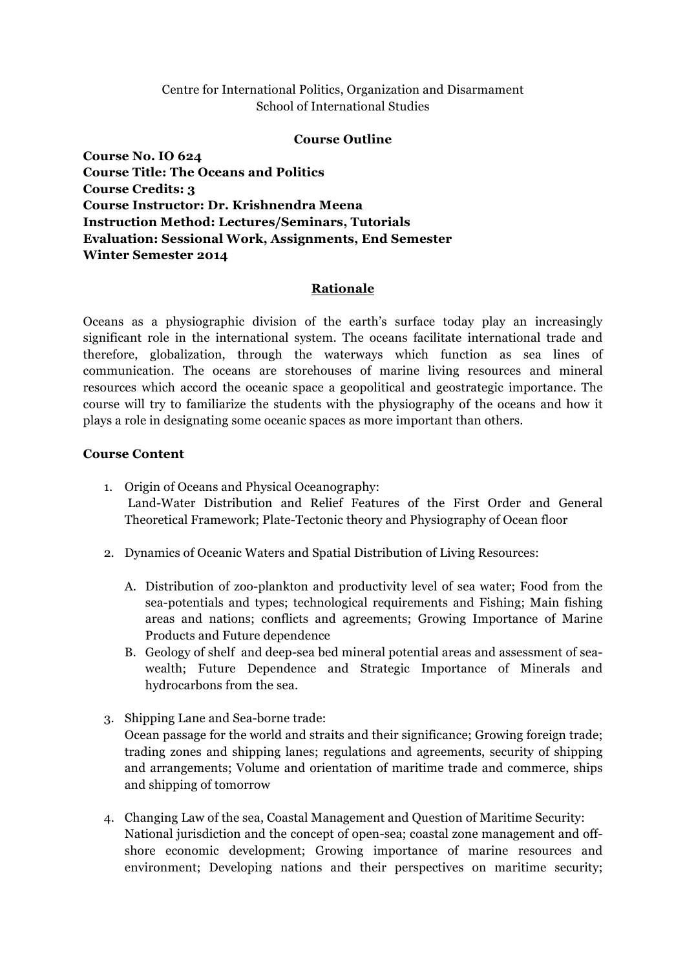## Centre for International Politics, Organization and Disarmament School of International Studies

#### **Course Outline**

**Course No. IO 624 Course Title: The Oceans and Politics Course Credits: 3 Course Instructor: Dr. Krishnendra Meena Instruction Method: Lectures/Seminars, Tutorials Evaluation: Sessional Work, Assignments, End Semester Winter Semester 2014**

### **Rationale**

Oceans as a physiographic division of the earth's surface today play an increasingly significant role in the international system. The oceans facilitate international trade and therefore, globalization, through the waterways which function as sea lines of communication. The oceans are storehouses of marine living resources and mineral resources which accord the oceanic space a geopolitical and geostrategic importance. The course will try to familiarize the students with the physiography of the oceans and how it plays a role in designating some oceanic spaces as more important than others.

### **Course Content**

- 1. Origin of Oceans and Physical Oceanography: Land-Water Distribution and Relief Features of the First Order and General Theoretical Framework; Plate-Tectonic theory and Physiography of Ocean floor
- 2. Dynamics of Oceanic Waters and Spatial Distribution of Living Resources:
	- A. Distribution of zoo-plankton and productivity level of sea water; Food from the sea-potentials and types; technological requirements and Fishing; Main fishing areas and nations; conflicts and agreements; Growing Importance of Marine Products and Future dependence
	- B. Geology of shelf and deep-sea bed mineral potential areas and assessment of seawealth; Future Dependence and Strategic Importance of Minerals and hydrocarbons from the sea.
- 3. Shipping Lane and Sea-borne trade: Ocean passage for the world and straits and their significance; Growing foreign trade; trading zones and shipping lanes; regulations and agreements, security of shipping and arrangements; Volume and orientation of maritime trade and commerce, ships and shipping of tomorrow
- 4. Changing Law of the sea, Coastal Management and Question of Maritime Security: National jurisdiction and the concept of open-sea; coastal zone management and offshore economic development; Growing importance of marine resources and environment; Developing nations and their perspectives on maritime security;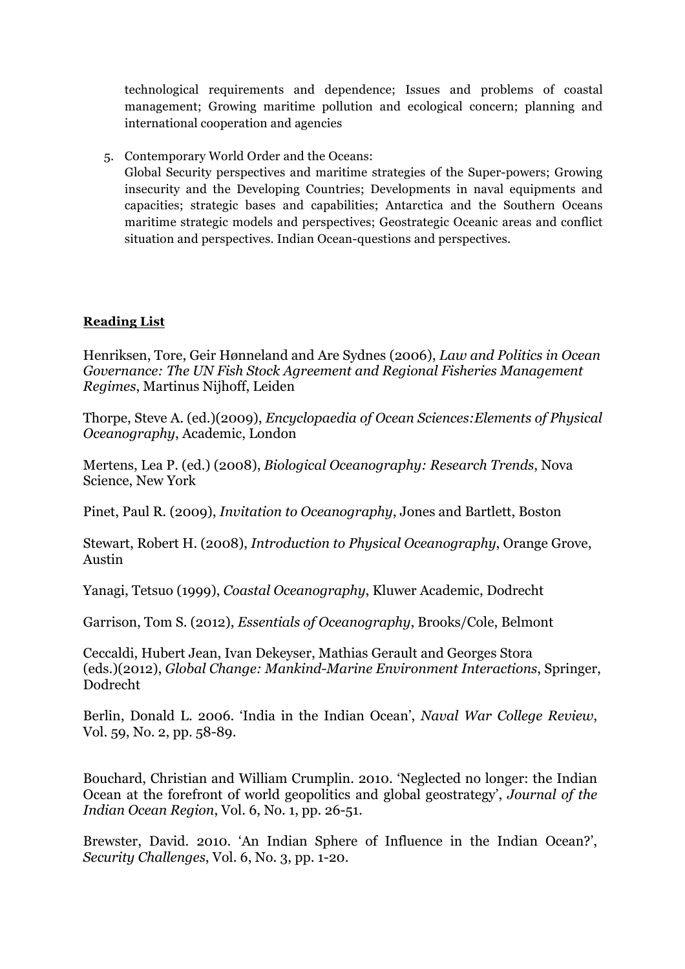technological requirements and dependence; Issues and problems of coastal management; Growing maritime pollution and ecological concern; planning and international cooperation and agencies

5. Contemporary World Order and the Oceans: Global Security perspectives and maritime strategies of the Super-powers; Growing insecurity and the Developing Countries; Developments in naval equipments and capacities; strategic bases and capabilities; Antarctica and the Southern Oceans maritime strategic models and perspectives; Geostrategic Oceanic areas and conflict situation and perspectives. Indian Ocean-questions and perspectives.

# **Reading List**

Henriksen, Tore, Geir Hønneland and Are Sydnes (2006), *Law and Politics in Ocean Governance: The UN Fish Stock Agreement and Regional Fisheries Management Regimes*, Martinus Nijhoff, Leiden

Thorpe, Steve A. (ed.)(2009), *Encyclopaedia of Ocean Sciences:Elements of Physical Oceanography*, Academic, London

Mertens, Lea P. (ed.) (2008), *Biological Oceanography: Research Trends*, Nova Science, New York

Pinet, Paul R. (2009), *Invitation to Oceanography*, Jones and Bartlett, Boston

Stewart, Robert H. (2008), *Introduction to Physical Oceanography*, Orange Grove, Austin

Yanagi, Tetsuo (1999), *Coastal Oceanography*, Kluwer Academic, Dodrecht

Garrison, Tom S. (2012), *Essentials of Oceanography*, Brooks/Cole, Belmont

Ceccaldi, Hubert Jean, Ivan Dekeyser, Mathias Gerault and Georges Stora (eds.)(2012), *Global Change: Mankind-Marine Environment Interactions*, Springer, Dodrecht

Berlin, Donald L. 2006. 'India in the Indian Ocean', *Naval War College Review*, Vol. 59, No. 2, pp. 58-89.

Bouchard, Christian and William Crumplin. 2010. 'Neglected no longer: the Indian Ocean at the forefront of world geopolitics and global geostrategy', *Journal of the Indian Ocean Region*, Vol. 6, No. 1, pp. 26-51.

Brewster, David. 2010. 'An Indian Sphere of Influence in the Indian Ocean?', *Security Challenges*, Vol. 6, No. 3, pp. 1-20.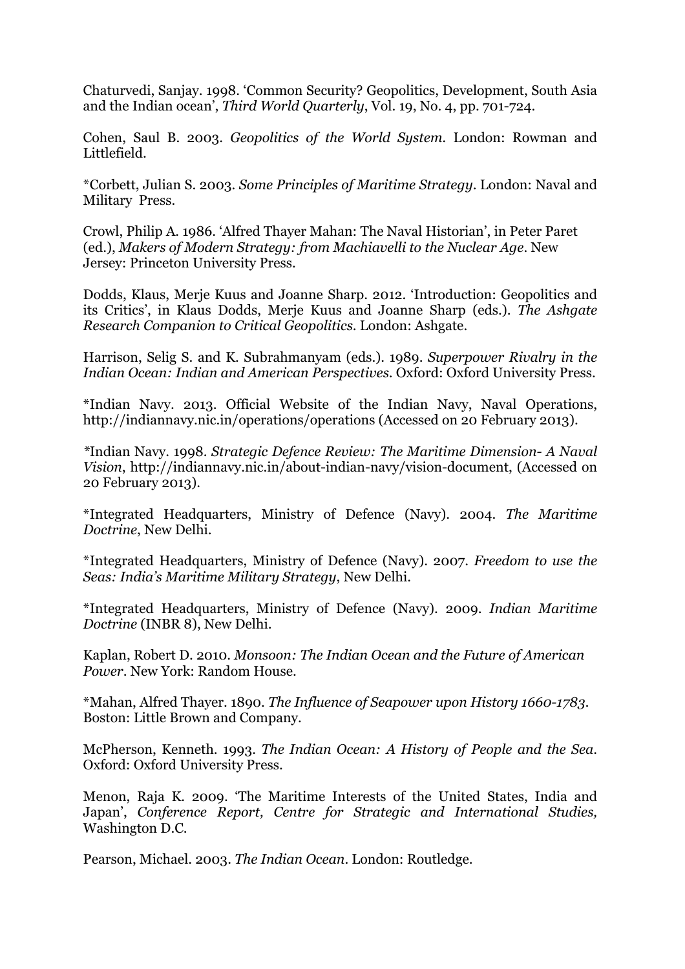Chaturvedi, Sanjay. 1998. 'Common Security? Geopolitics, Development, South Asia and the Indian ocean', *Third World Quarterly*, Vol. 19, No. 4, pp. 701-724.

Cohen, Saul B. 2003. *Geopolitics of the World System.* London: Rowman and Littlefield.

\*Corbett, Julian S. 2003. *Some Principles of Maritime Strategy*. London: Naval and Military Press.

Crowl, Philip A. 1986. 'Alfred Thayer Mahan: The Naval Historian', in Peter Paret (ed.), *Makers of Modern Strategy: from Machiavelli to the Nuclear Age*. New Jersey: Princeton University Press.

Dodds, Klaus, Merje Kuus and Joanne Sharp. 2012. 'Introduction: Geopolitics and its Critics', in Klaus Dodds, Merje Kuus and Joanne Sharp (eds.). *The Ashgate Research Companion to Critical Geopolitics*. London: Ashgate.

Harrison, Selig S. and K. Subrahmanyam (eds.). 1989. *Superpower Rivalry in the Indian Ocean: Indian and American Perspectives*. Oxford: Oxford University Press.

\*Indian Navy. 2013. Official Website of the Indian Navy, Naval Operations, http://indiannavy.nic.in/operations/operations (Accessed on 20 February 2013).

*\**Indian Navy. 1998. *Strategic Defence Review: The Maritime Dimension- A Naval Vision*, http://indiannavy.nic.in/about-indian-navy/vision-document, (Accessed on 20 February 2013).

\*Integrated Headquarters, Ministry of Defence (Navy). 2004. *The Maritime Doctrine*, New Delhi.

\*Integrated Headquarters, Ministry of Defence (Navy). 2007. *Freedom to use the Seas: India's Maritime Military Strategy*, New Delhi.

\*Integrated Headquarters, Ministry of Defence (Navy). 2009. *Indian Maritime Doctrine* (INBR 8), New Delhi.

Kaplan, Robert D. 2010. *Monsoon: The Indian Ocean and the Future of American Power*. New York: Random House.

\*Mahan, Alfred Thayer. 1890. *The Influence of Seapower upon History 1660-1783.* Boston: Little Brown and Company.

McPherson, Kenneth. 1993. *The Indian Ocean: A History of People and the Sea*. Oxford: Oxford University Press.

Menon, Raja K. 2009. 'The Maritime Interests of the United States, India and Japan', *Conference Report, Centre for Strategic and International Studies,* Washington D.C.

Pearson, Michael. 2003. *The Indian Ocean*. London: Routledge.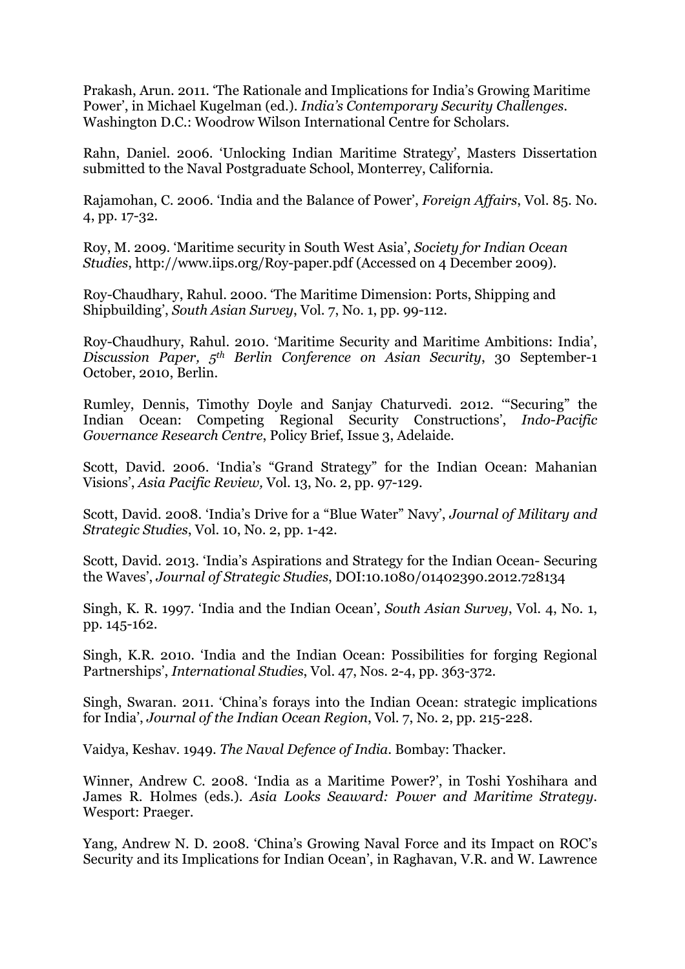Prakash, Arun. 2011. 'The Rationale and Implications for India's Growing Maritime Power', in Michael Kugelman (ed.). *India's Contemporary Security Challenges*. Washington D.C.: Woodrow Wilson International Centre for Scholars.

Rahn, Daniel. 2006. 'Unlocking Indian Maritime Strategy', Masters Dissertation submitted to the Naval Postgraduate School, Monterrey, California.

Rajamohan, C. 2006. 'India and the Balance of Power', *Foreign Affairs*, Vol. 85. No. 4, pp. 17-32.

Roy, M. 2009. 'Maritime security in South West Asia', *Society for Indian Ocean Studies*, http://www.iips.org/Roy-paper.pdf (Accessed on 4 December 2009).

Roy-Chaudhary, Rahul. 2000. 'The Maritime Dimension: Ports, Shipping and Shipbuilding', *South Asian Survey*, Vol. 7, No. 1, pp. 99-112.

Roy-Chaudhury, Rahul. 2010. 'Maritime Security and Maritime Ambitions: India', *Discussion Paper, 5th Berlin Conference on Asian Security*, 30 September-1 October, 2010, Berlin.

Rumley, Dennis, Timothy Doyle and Sanjay Chaturvedi. 2012. '"Securing" the Indian Ocean: Competing Regional Security Constructions', *Indo-Pacific Governance Research Centre*, Policy Brief, Issue 3, Adelaide.

Scott, David. 2006. 'India's "Grand Strategy" for the Indian Ocean: Mahanian Visions', *Asia Pacific Review,* Vol. 13, No. 2, pp. 97-129.

Scott, David. 2008. 'India's Drive for a "Blue Water" Navy', *Journal of Military and Strategic Studies*, Vol. 10, No. 2, pp. 1-42.

Scott, David. 2013. 'India's Aspirations and Strategy for the Indian Ocean- Securing the Waves', *Journal of Strategic Studies*, DOI:10.1080/01402390.2012.728134

Singh, K. R. 1997. 'India and the Indian Ocean', *South Asian Survey*, Vol. 4, No. 1, pp. 145-162.

Singh, K.R. 2010. 'India and the Indian Ocean: Possibilities for forging Regional Partnerships', *International Studies*, Vol. 47, Nos. 2-4, pp. 363-372.

Singh, Swaran. 2011. 'China's forays into the Indian Ocean: strategic implications for India', *Journal of the Indian Ocean Region*, Vol. 7, No. 2, pp. 215-228.

Vaidya, Keshav. 1949. *The Naval Defence of India*. Bombay: Thacker.

Winner, Andrew C. 2008. 'India as a Maritime Power?', in Toshi Yoshihara and James R. Holmes (eds.). *Asia Looks Seaward: Power and Maritime Strategy*. Wesport: Praeger.

Yang, Andrew N. D. 2008. 'China's Growing Naval Force and its Impact on ROC's Security and its Implications for Indian Ocean', in Raghavan, V.R. and W. Lawrence